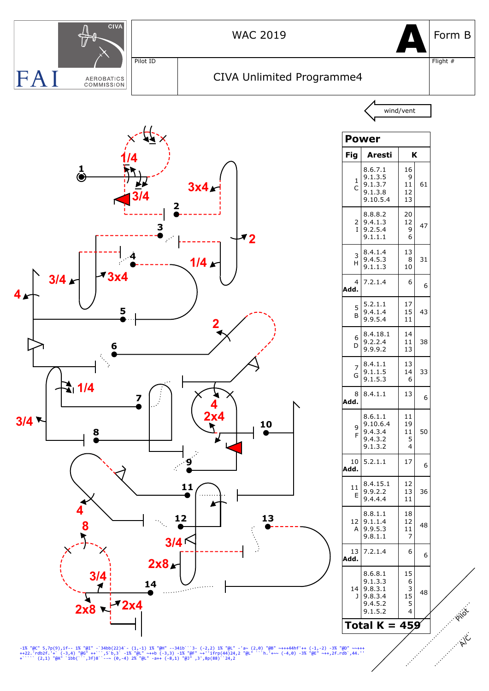

-1% "@C" 5,7p(9),if-- 1% "@I" -`34bb(22)4`- (1,-1) 1% "@H" --34ib```3- (-2,2) 1% "@L" -'a~ (2,0) "@B" ~+++44hf'++ (-1,-2) -3% "@D" ~~+++<br>++22.'rdb2f.'+` (-3,4) "@G" ++``,5`b,3' -1% "@L" ~++b (-3,3) -1% "@F" ~+''ifrp(44)24,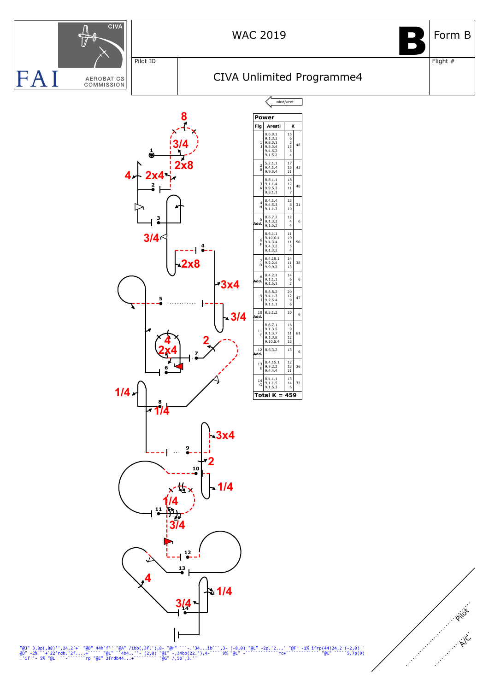

## WAC 2019  $\Box$  Form B

Flight #

D<br>D

## CIVA Unlimited Programme4

wind/vent

<sup>48</sup>

43

48

<sub>3</sub>

50

<sub>38</sub>

 $\overline{4}$ 

6

36

33



"@J" 3,8p(,88)'',24,2'+` "@B" 44h'f'' "@A" /1bb(,3f.'),8- "@H" ```-.'34...ib```,3- (-8,0) "@L" -2p.'2...' "@F" -1% ifrp(44)24,2 (-2,0) "<br>@D" -2% ``+`22'rdb.'2f....+````@L" ``4b4..''- (2,0) "@I" -,34bb(22.'),4-```` 9% "@L"

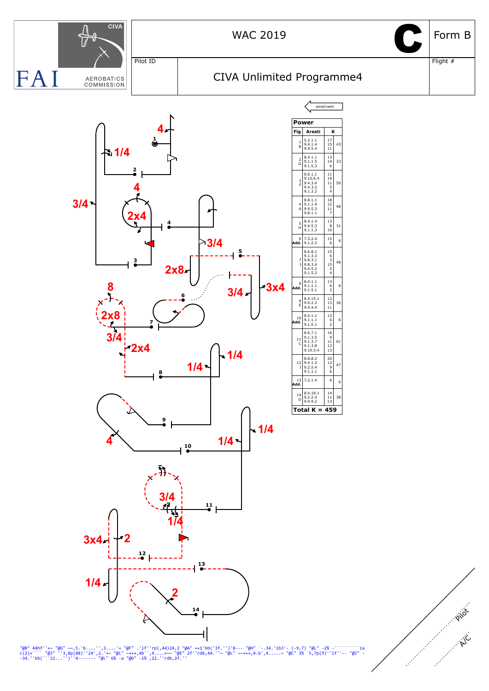

"@B" 44hf''+~ "@G" ~~,5.'b....'',3....'+ "@F" .'if''rp(,44)24,2 "@A" ++1'bb('3f.'')'8--- "@H" `-.34.'ib3'- (-9,7) "@L" -2% -`````````ia<br>c(2)+````"@J" ''3,8p(88)''24',2.'+~ "@L" ~+++,4b`,4...+~~ "@E" 2f''rdb,44.''~ "@L" ~~+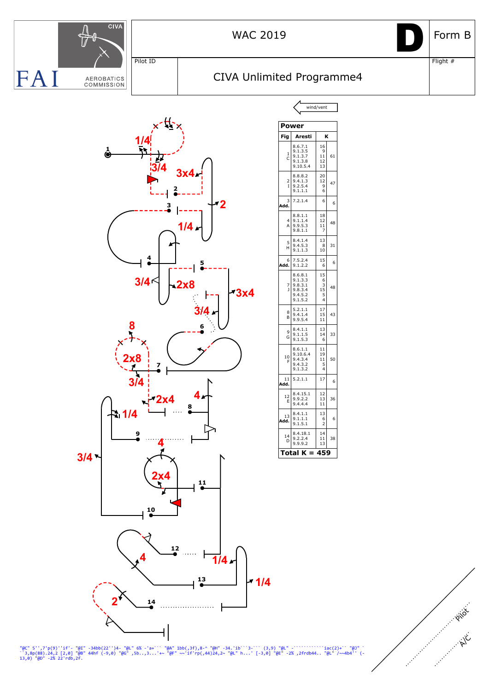

"@C" 5'',7'p(9)''if'- "@I" -34bb(22'')4- "@L" 6% -'a+``` "@A" 1bb(,3f),8-^ "@H" -34.'ib```3-``` (3,9) "@L" -````````````iac(2)+`` "@J" ` ``3,8p(88).24,2 [2,0] "@B" 44hf (-9,0) "@G" ,5b..,3...'+~ "@F" ~~'if'rp(,44)24,2~ "@L" h...' [-3,0] "@E" -2% ,2frdb44.. "@L" /~~4b4'' (- 13,0) "@D" -2% 22'rdb,2f.

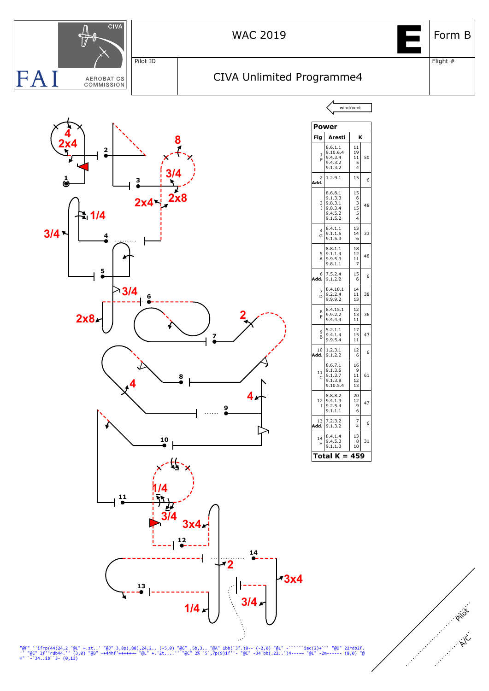

"@F" ''ifrp(44)24,2 "@L" ~.zt..' "@J" 3,8p(,88),24,2.. (-5,0) "@G" ,5b,3.. "@A" 1bb(`3f.)8-- (-2,0) "@L" -`````iac(2)+``` "@D" 22rdb2f.<br>'' "@E" 2f''rdb44.'' (3,0) "@B" ~+44hf'+++++~~ "@L" +.'2t....'' "@C" 2% `5`,7p(9)if''-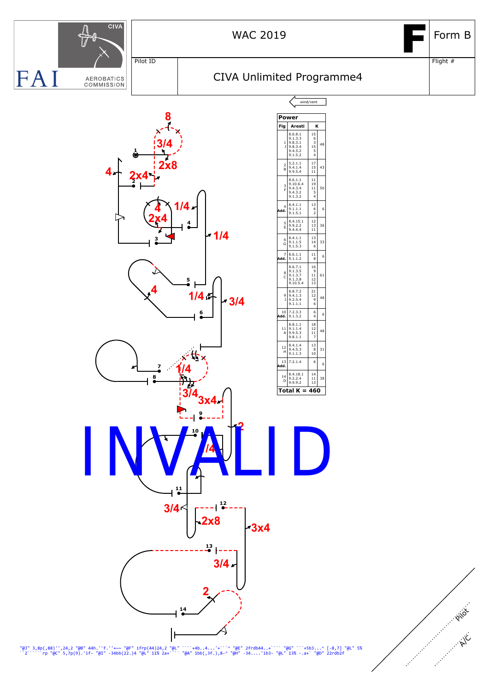

"@J" 3,8p(,88)'',24,2 "@B" 44h.''f.''+~~ "@F" ifrp(44)24,2 "@L" ```+4b..4...'+```^ "@E" 2frdb44..+```` "@G" ```+5b3...^ [-8,7] "@L" 5%<br>``2``````rp "@C" 5,7p(9).'if- "@I" -34bb(22.)4 "@L" 11% 2a+```` "@A" 1bb(,3f.),8-^ "@H"

A/C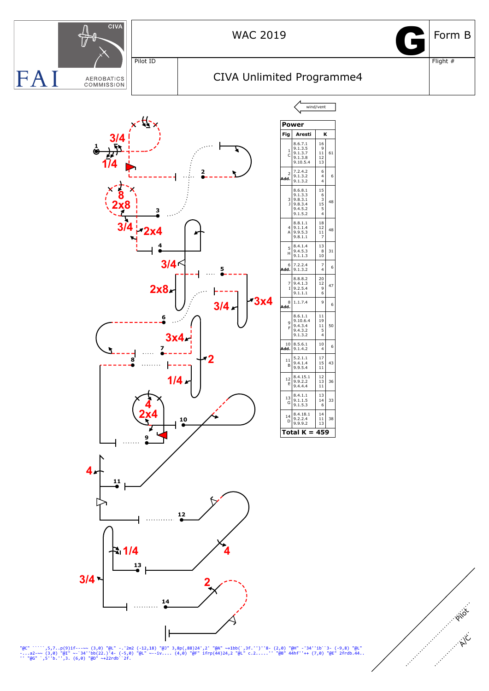

"@C" `````,5,7..p(9)if---~~ (3,0) "@L" -.'2m2 (-12,18) "@J" 3,8p(,88)24',2' "@A" ~+1bb(`,3f.'')''8- (2,0) "@H" -'34''ib``3- (-9,8) "@L"<br>-...a2-~~ (3,0) "@I" ~-`34''bb(22.)'4- (-5,0) "@L" ~--iv.... (4,0) "@F" ifrp(44)24,2 "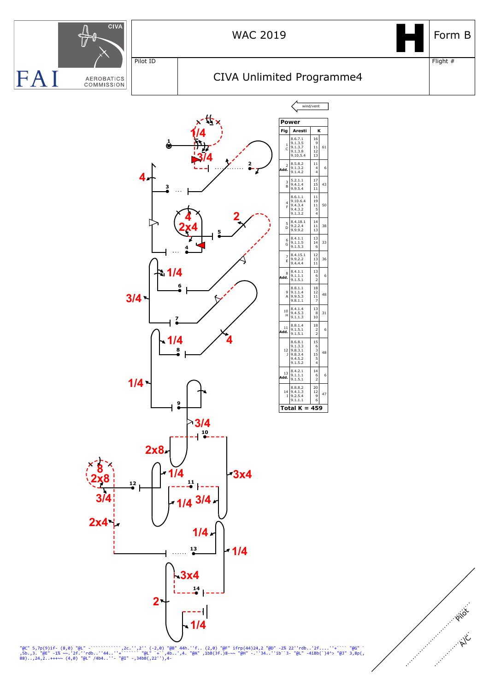

"@C" 5,7p(9)if- (8,0) "@L" -`````````\;2'' (-2,0) "@B" 44h.''f.. (2,0) "@F" ifrp(44)24,2 "@D" -2% 22''rdb..'2f....''+```` "@G" `<br>,5b.,3. "@E" -1% ~~.'2f.''rdb..''44..''+````"@L"`+`,4b..',4. "@A" ,1bB(3f.)8-~~ "@H" -.''34..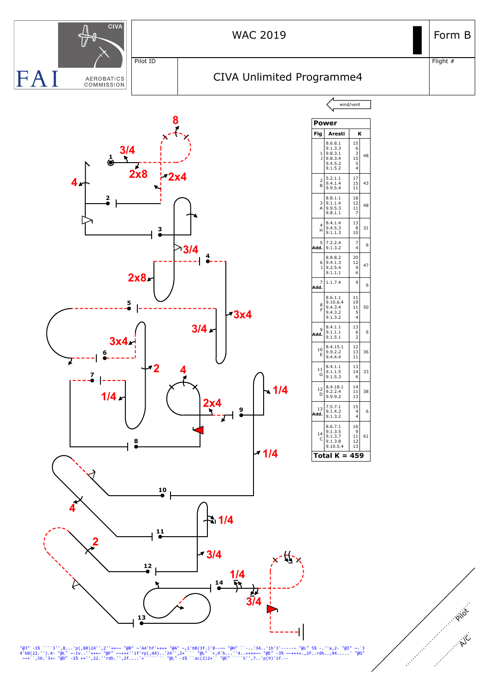

"@J" -1% ````3'',8...'p(,88)24'',2''++~~ "@B" ~'44'hf'++++ "@A" ~,1'bB(3f.)'8--~~ "@H" ``-..'34..'ib'3'-----~ "@L" 5% -.''a,2- "@I" ~-`3<br>4'bB(22.'').4- "@L" ~-iv..''+++~ "@F" ~~+++''if'rp(,44)..'24'',2+`'` "@L" `+,4'b...''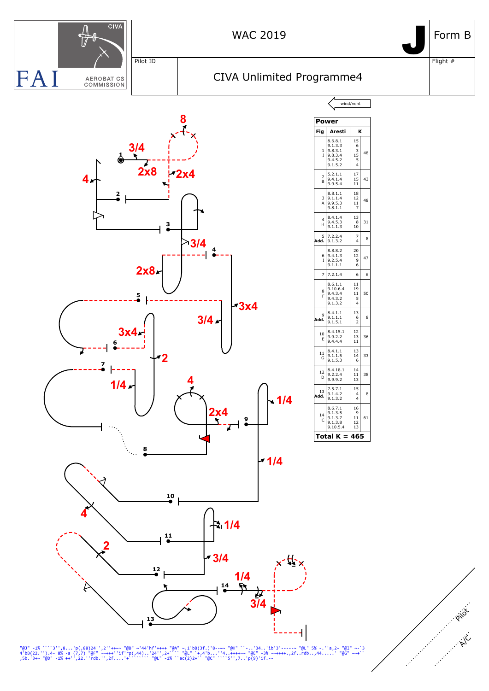

"@J" -1% ````3'',8...'p(,88)24'',2''++~~ "@B" ~'44'hf'++++ "@A" ~,1'bB(3f.)'8--~~ "@H" ``-..'34..'ib'3'-----~ "@L" 5% -.''a,2- "@I" ~-`3<br>4'bB(22.'').4- 8% -a (7,7) "@f" ~~++++'if'rp(,44)..'24'',2+``` "@L" `+,4'b...''4..+++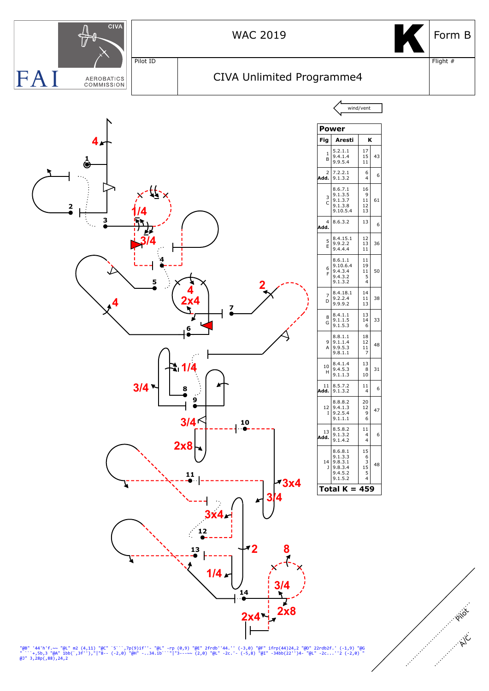

"@B" '44'h'f.~~ "@L" m2 (4,11) "@C" `5```,7p(9)if''- "@L" -rp (0,9) "@E" 2frdb''44.'' (-3,0) "@F" ifrp(44)24,2 "@D" 22rdb2f.' (-1,9) "@G<br>" ```+,5b,3 "@A" 1bb(`,3f''),"|"8-- (-2,0) "@H" -..34.ib```"|"3---~~ (2,0) "@L" -2c.'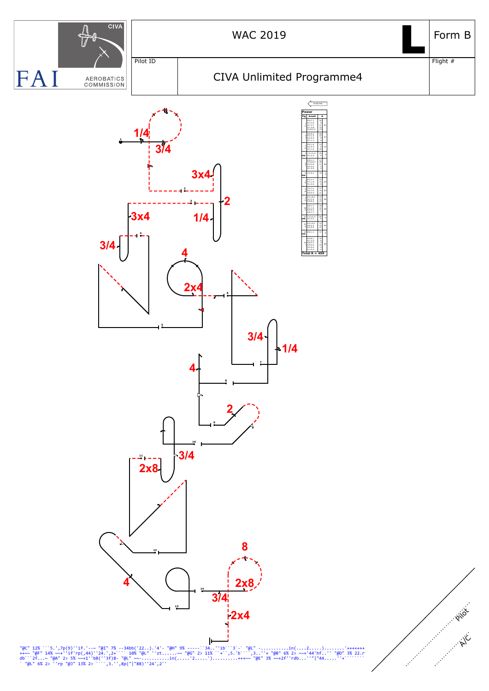

"@C" 12%```5.',7p(9)''if.'-~~ "@I" 7% --34bb('22..).'4'- "@H" 9% -----``34..''ib```3`-` "@L" -...........in(....2.....).........'+++++++<br>++~~ "@F" 14% ~~+''if'rp(,44)''24.',2+``` 10% "@L" ''zt......~~ "@G" 2> 11% ``+``,5.'